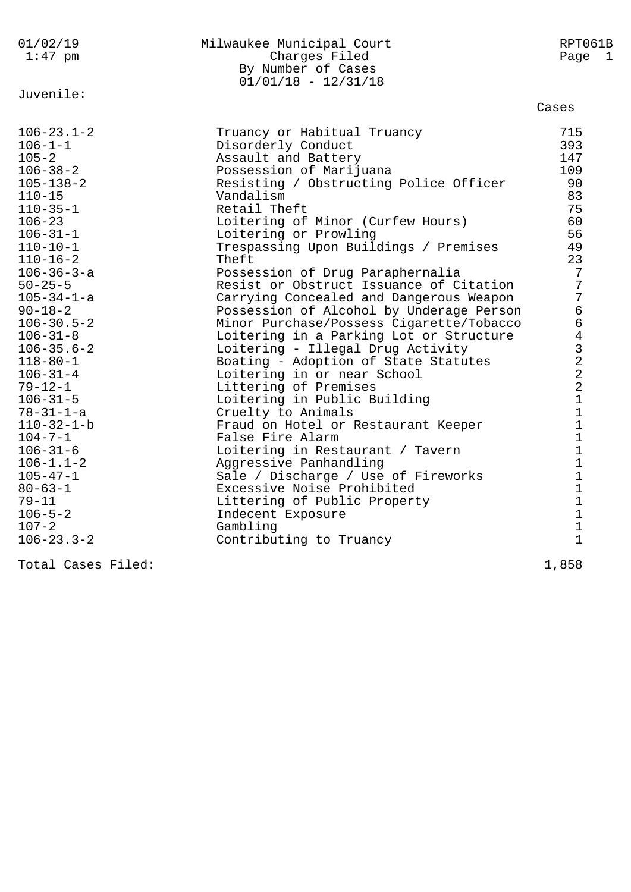| 01/02/19<br>$1:47$ pm                                                                                                                                                                                                                                                                                                                                                                                                                                                                                                                                                                                     | Milwaukee Municipal Court<br>Charges Filed<br>By Number of Cases<br>$01/01/18 - 12/31/18$                                                                                                                                                                                                                                                                                                                                                                                                                                                                                                                                                                                                                                                                                                                                                                                                                                                                                                                                                    | RPT061B<br>Page 1                                                                                                                                                                                                                                                                                                                                                                 |
|-----------------------------------------------------------------------------------------------------------------------------------------------------------------------------------------------------------------------------------------------------------------------------------------------------------------------------------------------------------------------------------------------------------------------------------------------------------------------------------------------------------------------------------------------------------------------------------------------------------|----------------------------------------------------------------------------------------------------------------------------------------------------------------------------------------------------------------------------------------------------------------------------------------------------------------------------------------------------------------------------------------------------------------------------------------------------------------------------------------------------------------------------------------------------------------------------------------------------------------------------------------------------------------------------------------------------------------------------------------------------------------------------------------------------------------------------------------------------------------------------------------------------------------------------------------------------------------------------------------------------------------------------------------------|-----------------------------------------------------------------------------------------------------------------------------------------------------------------------------------------------------------------------------------------------------------------------------------------------------------------------------------------------------------------------------------|
| Juvenile:                                                                                                                                                                                                                                                                                                                                                                                                                                                                                                                                                                                                 |                                                                                                                                                                                                                                                                                                                                                                                                                                                                                                                                                                                                                                                                                                                                                                                                                                                                                                                                                                                                                                              | Cases                                                                                                                                                                                                                                                                                                                                                                             |
| $106 - 23.1 - 2$<br>$106 - 1 - 1$<br>$105 - 2$<br>$106 - 38 - 2$<br>$105 - 138 - 2$<br>$110 - 15$<br>$110 - 35 - 1$<br>$106 - 23$<br>$106 - 31 - 1$<br>$110 - 10 - 1$<br>$110 - 16 - 2$<br>$106 - 36 - 3 - a$<br>$50 - 25 - 5$<br>$105 - 34 - 1 - a$<br>$90 - 18 - 2$<br>$106 - 30.5 - 2$<br>$106 - 31 - 8$<br>$106 - 35.6 - 2$<br>$118 - 80 - 1$<br>$106 - 31 - 4$<br>$79 - 12 - 1$<br>$106 - 31 - 5$<br>$78 - 31 - 1 - a$<br>$110 - 32 - 1 - b$<br>$104 - 7 - 1$<br>$106 - 31 - 6$<br>$106 - 1.1 - 2$<br>$105 - 47 - 1$<br>$80 - 63 - 1$<br>$79 - 11$<br>$106 - 5 - 2$<br>$107 - 2$<br>$106 - 23.3 - 2$ | Truancy or Habitual Truancy<br>Disorderly Conduct<br>Assault and Battery<br>Possession of Marijuana<br>Resisting / Obstructing Police Officer<br>Vandalism<br>Retail Theft<br>Loitering of Minor (Curfew Hours)<br>Loitering or Prowling<br>Trespassing Upon Buildings / Premises<br>Theft<br>Possession of Drug Paraphernalia<br>Resist or Obstruct Issuance of Citation<br>Carrying Concealed and Dangerous Weapon<br>Possession of Alcohol by Underage Person<br>Minor Purchase/Possess Cigarette/Tobacco<br>Loitering in a Parking Lot or Structure<br>Loitering - Illegal Drug Activity<br>Boating - Adoption of State Statutes<br>Loitering in or near School<br>Littering of Premises<br>Loitering in Public Building<br>Cruelty to Animals<br>Fraud on Hotel or Restaurant Keeper<br>False Fire Alarm<br>Loitering in Restaurant / Tavern<br>Aggressive Panhandling<br>Sale / Discharge / Use of Fireworks<br>Excessive Noise Prohibited<br>Littering of Public Property<br>Indecent Exposure<br>Gambling<br>Contributing to Truancy | 715<br>393<br>147<br>109<br>90<br>83<br>75<br>60<br>56<br>49<br>23<br>7<br>$7\phantom{.}$<br>$\overline{7}$<br>$\epsilon$<br>$\epsilon$<br>$\,4$<br>$\frac{3}{2}$<br>$\sqrt{2}$<br>$\overline{a}$<br>$\mathbf{1}$<br>$\mathbf{1}$<br>$\mathbf 1$<br>$\mathbf 1$<br>$\mathbf 1$<br>$\mathbf{1}$<br>$\mathbf{1}$<br>$\mathbf{1}$<br>$\mathbf 1$<br>$\mathbf 1$<br>$\mathbf{1}$<br>1 |
|                                                                                                                                                                                                                                                                                                                                                                                                                                                                                                                                                                                                           |                                                                                                                                                                                                                                                                                                                                                                                                                                                                                                                                                                                                                                                                                                                                                                                                                                                                                                                                                                                                                                              |                                                                                                                                                                                                                                                                                                                                                                                   |

Total Cases Filed: 1,858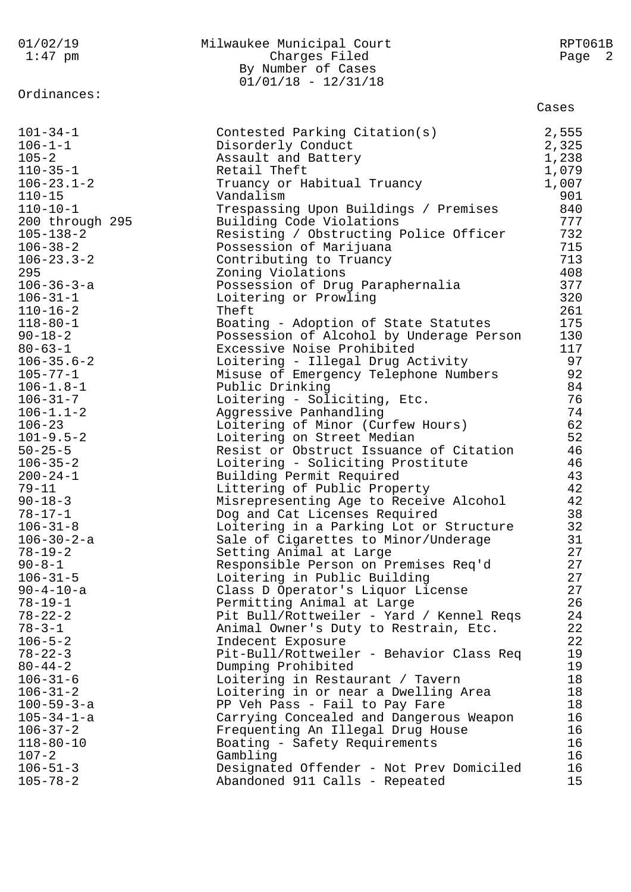| 01/02/19<br>$1:47$ pm | Milwaukee Municipal Court<br>Charges Filed<br>By Number of Cases<br>$01/01/18 - 12/31/18$ | RPT061B<br>Page 2 |
|-----------------------|-------------------------------------------------------------------------------------------|-------------------|
| Ordinances:           |                                                                                           | Cases             |
| $101 - 34 - 1$        | Contested Parking Citation(s)                                                             | 2,555             |
| $106 - 1 - 1$         | Disorderly Conduct                                                                        | 2,325             |
| $105 - 2$             | Assault and Battery                                                                       | 1,238             |
| $110 - 35 - 1$        | Retail Theft                                                                              | 1,079             |
| $106 - 23.1 - 2$      | Truancy or Habitual Truancy                                                               | 1,007             |
| $110 - 15$            | Vandalism                                                                                 | 901               |
| $110 - 10 - 1$        | Trespassing Upon Buildings / Premises                                                     | 840               |
| 200 through 295       | Building Code Violations                                                                  | 777               |
| $105 - 138 - 2$       | Resisting / Obstructing Police Officer                                                    | 732               |
| $106 - 38 - 2$        | Possession of Marijuana                                                                   | 715               |
| $106 - 23.3 - 2$      | Contributing to Truancy                                                                   | 713               |
| 295                   | Zoning Violations                                                                         | 408               |
| $106 - 36 - 3 - a$    | Possession of Drug Paraphernalia                                                          | 377               |
| $106 - 31 - 1$        | Loitering or Prowling                                                                     | 320               |
| $110 - 16 - 2$        | Theft                                                                                     | 261               |
| $118 - 80 - 1$        | Boating - Adoption of State Statutes                                                      | 175               |
| $90 - 18 - 2$         | Possession of Alcohol by Underage Person                                                  | 130               |
| $80 - 63 - 1$         | Excessive Noise Prohibited                                                                | 117               |
| $106 - 35.6 - 2$      | Loitering - Illegal Drug Activity                                                         | 97                |
| $105 - 77 - 1$        | Misuse of Emergency Telephone Numbers                                                     | 92                |
| $106 - 1.8 - 1$       | Public Drinking                                                                           | 84                |
| $106 - 31 - 7$        | Loitering - Soliciting, Etc.                                                              | 76                |
| $106 - 1.1 - 2$       | Aggressive Panhandling                                                                    | 74                |
| $106 - 23$            | Loitering of Minor (Curfew Hours)                                                         | 62                |
| $101 - 9.5 - 2$       | Loitering on Street Median                                                                | 52                |
| $50 - 25 - 5$         | Resist or Obstruct Issuance of Citation                                                   | 46                |
| $106 - 35 - 2$        | Loitering - Soliciting Prostitute                                                         | 46                |
| $200 - 24 - 1$        | Building Permit Required                                                                  | 43                |
| $79 - 11$             | Littering of Public Property                                                              | 42                |
| $90 - 18 - 3$         | Misrepresenting Age to Receive Alcohol                                                    | 42                |
| $78 - 17 - 1$         | Dog and Cat Licenses Required                                                             | 38                |
| $106 - 31 - 8$        | Loitering in a Parking Lot or Structure                                                   | 32                |
| $106 - 30 - 2 - a$    | Sale of Cigarettes to Minor/Underage                                                      | 31                |
| $78 - 19 - 2$         | Setting Animal at Large                                                                   | 27                |
| $90 - 8 - 1$          | Responsible Person on Premises Req'd                                                      | 27                |
| $106 - 31 - 5$        | Loitering in Public Building                                                              | 27                |
| $90 - 4 - 10 - a$     | Class D Operator's Liquor License                                                         | 27                |
| $78 - 19 - 1$         | Permitting Animal at Large                                                                | 26                |
| $78 - 22 - 2$         | Pit Bull/Rottweiler - Yard / Kennel Reqs                                                  | 24                |
| $78 - 3 - 1$          | Animal Owner's Duty to Restrain, Etc.                                                     | 22                |
| $106 - 5 - 2$         | Indecent Exposure                                                                         | 22                |
| $78 - 22 - 3$         | Pit-Bull/Rottweiler - Behavior Class Req                                                  | 19                |
| $80 - 44 - 2$         | Dumping Prohibited                                                                        | 19                |
| $106 - 31 - 6$        | Loitering in Restaurant / Tavern                                                          | 18                |
| $106 - 31 - 2$        | Loitering in or near a Dwelling Area                                                      | 18                |
| $100 - 59 - 3 - a$    | PP Veh Pass - Fail to Pay Fare                                                            | 18                |
| $105 - 34 - 1 - a$    | Carrying Concealed and Dangerous Weapon                                                   | 16                |
| $106 - 37 - 2$        | Frequenting An Illegal Drug House                                                         | 16                |
| $118 - 80 - 10$       | Boating - Safety Requirements                                                             | 16                |
| $107 - 2$             | Gambling                                                                                  | 16                |
| $106 - 51 - 3$        | Designated Offender - Not Prev Domiciled                                                  | 16                |
| $105 - 78 - 2$        | Abandoned 911 Calls - Repeated                                                            | 15                |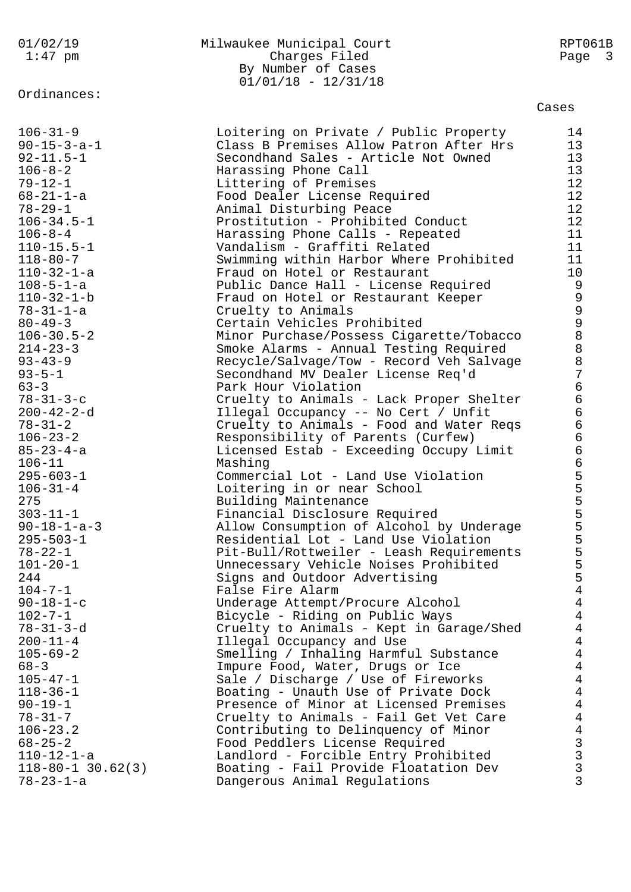# Ordinances:

## 01/02/19 Milwaukee Municipal Court RPT061B 1:47 pm Charges Filed Page 3 By Number of Cases 01/01/18 - 12/31/18

| $106 - 31 - 9$          | Loitering on Private / Public Property                       | 14             |
|-------------------------|--------------------------------------------------------------|----------------|
| $90 - 15 - 3 - a - 1$   | Class B Premises Allow Patron After Hrs                      | 13             |
| $92 - 11.5 - 1$         | Secondhand Sales - Article Not Owned                         | 13             |
| $106 - 8 - 2$           | Harassing Phone Call                                         | 13             |
| $79 - 12 - 1$           | Littering of Premises                                        | 12             |
| $68 - 21 - 1 - a$       | Food Dealer License Required                                 | 12             |
| $78 - 29 - 1$           |                                                              | 12             |
| $106 - 34.5 - 1$        | Animal Disturbing Peace<br>Prostitution - Prohibited Conduct | 12             |
| $106 - 8 - 4$           |                                                              | 11             |
|                         | Harassing Phone Calls - Repeated                             |                |
| $110 - 15.5 - 1$        | Vandalism - Graffiti Related                                 | 11             |
| $118 - 80 - 7$          | Swimming within Harbor Where Prohibited                      | 11             |
| $110 - 32 - 1 - a$      | Fraud on Hotel or Restaurant                                 | 10             |
| $108 - 5 - 1 - a$       | Public Dance Hall - License Required                         | 9              |
| $110 - 32 - 1 - b$      | Fraud on Hotel or Restaurant Keeper                          |                |
| $78 - 31 - 1 - a$       | Cruelty to Animals                                           |                |
| $80 - 49 - 3$           | Certain Vehicles Prohibited                                  |                |
| $106 - 30.5 - 2$        | Minor Purchase/Possess Cigarette/Tobacco                     |                |
| $214 - 23 - 3$          | Smoke Alarms - Annual Testing Required                       |                |
| $93 - 43 - 9$           | Recycle/Salvage/Tow - Record Veh Salvage                     | 9998887        |
| $93 - 5 - 1$            | Secondhand MV Dealer License Req'd                           |                |
| $63 - 3$                | Park Hour Violation                                          | 6666           |
| $78 - 31 - 3 - c$       | Cruelty to Animals - Lack Proper Shelter                     |                |
| $200 - 42 - 2 - d$      | Illegal Occupancy -- No Cert / Unfit                         |                |
| $78 - 31 - 2$           | Cruelty to Animals - Food and Water Regs                     |                |
| $106 - 23 - 2$          | Responsibility of Parents (Curfew)                           |                |
| $85 - 23 - 4 - a$       | Licensed Estab - Exceeding Occupy Limit                      | 66555555555    |
| $106 - 11$              | Mashing                                                      |                |
| $295 - 603 - 1$         | Commercial Lot - Land Use Violation                          |                |
| $106 - 31 - 4$          | Loitering in or near School                                  |                |
| 275                     | Building Maintenance                                         |                |
| $303 - 11 - 1$          | Financial Disclosure Required                                |                |
| $90 - 18 - 1 - a - 3$   | Allow Consumption of Alcohol by Underage                     |                |
| $295 - 503 - 1$         | Residential Lot - Land Use Violation                         |                |
| $78 - 22 - 1$           | Pit-Bull/Rottweiler - Leash Requirements                     |                |
| $101 - 20 - 1$          | Unnecessary Vehicle Noises Prohibited                        |                |
| 244                     | Signs and Outdoor Advertising                                |                |
| $104 - 7 - 1$           | False Fire Alarm                                             | $\overline{4}$ |
| $90 - 18 - 1 - c$       | Underage Attempt/Procure Alcohol                             | $\overline{4}$ |
| $102 - 7 - 1$           | Bicycle - Riding on Public Ways                              | $\overline{4}$ |
| $78 - 31 - 3 - d$       | Cruelty to Animals - Kept in Garage/Shed                     | $\overline{4}$ |
| $200 - 11 - 4$          | Illegal Occupancy and Use                                    | $\overline{4}$ |
| $105 - 69 - 2$          | Smelling / Inhaling Harmful Substance                        | $\overline{4}$ |
| $68 - 3$                | Impure Food, Water, Drugs or Ice                             | $\overline{4}$ |
| $105 - 47 - 1$          | Sale / Discharge / Use of Fireworks                          | $\overline{4}$ |
| $118 - 36 - 1$          | Boating - Unauth Use of Private Dock                         | $\overline{4}$ |
| $90 - 19 - 1$           | Presence of Minor at Licensed Premises                       | $\overline{4}$ |
| $78 - 31 - 7$           | Cruelty to Animals - Fail Get Vet Care                       | $\overline{4}$ |
| $106 - 23.2$            | Contributing to Delinquency of Minor                         | $\overline{4}$ |
| $68 - 25 - 2$           | Food Peddlers License Required                               | $\mathsf{3}$   |
| $110 - 12 - 1 - a$      | Landlord - Forcible Entry Prohibited                         | $\mathsf{3}$   |
| $118 - 80 - 1$ 30.62(3) | Boating - Fail Provide Floatation Dev                        | $\mathbf{3}$   |
| $78 - 23 - 1 - a$       | Dangerous Animal Regulations                                 | 3              |
|                         |                                                              |                |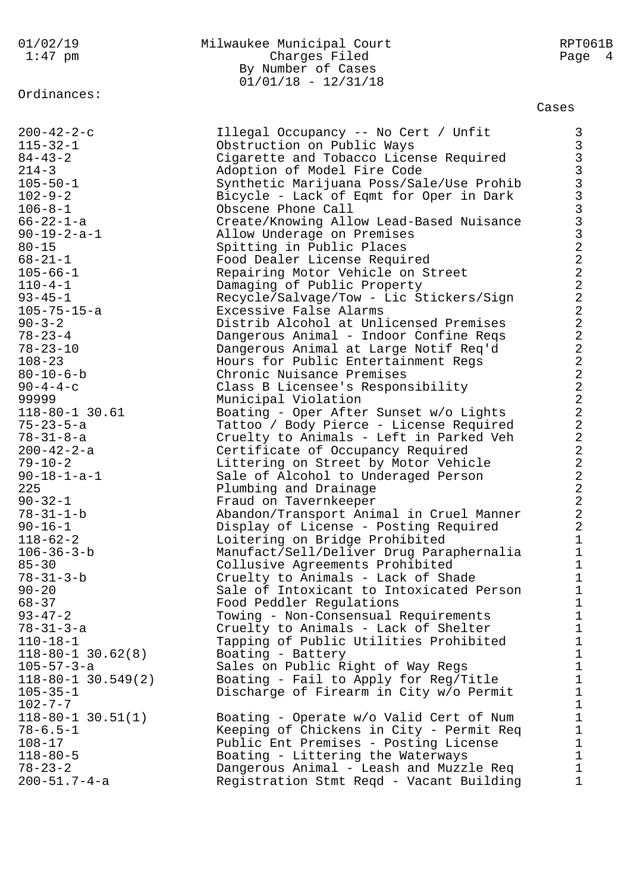Ordinances:

200-51.7-4-a Registration Stmt Reqd - Vacant Building 1

# 01/02/19 Milwaukee Municipal Court RPT061B 1:47 pm Charges Filed Page 4 By Number of Cases 01/01/18 - 12/31/18

Cases

200-42-2-c Illegal Occupancy -- No Cert / Unfit 3 115-32-1 Obstruction on Public Ways 3 84-43-2 Cigarette and Tobacco License Required 3 214-3 Adoption of Model Fire Code 3 105-50-1 Synthetic Marijuana Poss/Sale/Use Prohib 3 102-9-2 Bicycle - Lack of Eqmt for Oper in Dark 3 106-8-1 Obscene Phone Call 3 66-22-1-a Create/Knowing Allow Lead-Based Nuisance 3 90-19-2-a-1 Allow Underage on Premises 3 80-15 Spitting in Public Places 2 68-21-1 Food Dealer License Required 2 105-66-1 Repairing Motor Vehicle on Street 2 110-4-1 Damaging of Public Property 2 93-45-1 Recycle/Salvage/Tow - Lic Stickers/Sign 2 105-75-15-a Excessive False Alarms 2 90-3-2 Distrib Alcohol at Unlicensed Premises 2 78-23-4 Dangerous Animal - Indoor Confine Reqs 2 78-23-10 Dangerous Animal at Large Notif Req'd 2 108-23 Hours for Public Entertainment Regs 2 80-10-6-b Chronic Nuisance Premises 2 90-4-4-c Class B Licensee's Responsibility 2 99999 Municipal Violation 2 118-80-1 30.61 Boating - Oper After Sunset w/o Lights 2 75-23-5-a Tattoo / Body Pierce - License Required 2 78-31-8-a Cruelty to Animals - Left in Parked Veh 2 200-42-2-a Certificate of Occupancy Required 2 79-10-2 Littering on Street by Motor Vehicle 2 90-18-1-a-1 Sale of Alcohol to Underaged Person 2 225 **Plumbing and Drainage 2** 90-32-1 Fraud on Tavernkeeper 2 78-31-1-b Abandon/Transport Animal in Cruel Manner 2 90-16-1 Display of License - Posting Required 2 118-62-2 Loitering on Bridge Prohibited 1 106-36-3-b Manufact/Sell/Deliver Drug Paraphernalia 1 85-30 Collusive Agreements Prohibited 1 78-31-3-b Cruelty to Animals - Lack of Shade 1 90-20 Sale of Intoxicant to Intoxicated Person 1 68-37 Food Peddler Regulations 1 93-47-2 Towing - Non-Consensual Requirements 1 78-31-3-a Cruelty to Animals - Lack of Shelter 1 110-18-1 Tapping of Public Utilities Prohibited 1 118-80-1 30.62(8) Boating - Battery 1 105-57-3-a Sales on Public Right of Way Regs 1 118-80-1 30.549(2) Boating - Fail to Apply for Reg/Title 1 105-35-1 Discharge of Firearm in City w/o Permit 1  $102 - 7 - 7$  1 118-80-1 30.51(1) Boating - Operate w/o Valid Cert of Num 1 78-6.5-1 Keeping of Chickens in City - Permit Req 1 108-17 Public Ent Premises - Posting License 1 118-80-5 Boating - Littering the Waterways 1 78-23-2 Dangerous Animal - Leash and Muzzle Req 1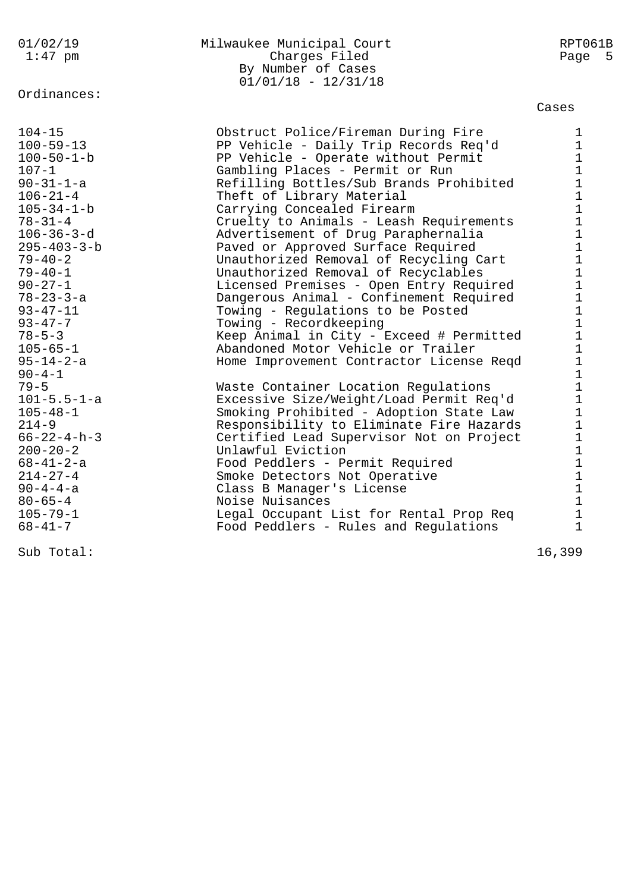## Ordinances:

#### 01/02/19 Milwaukee Municipal Court RPT061B 1:47 pm Charges Filed Page 5 By Number of Cases 01/01/18 - 12/31/18

| $104 - 15$<br>$100 - 59 - 13$<br>$100 - 50 - 1 - b$<br>$107 - 1$<br>$90 - 31 - 1 - a$<br>$106 - 21 - 4$<br>$105 - 34 - 1 - b$<br>$78 - 31 - 4$<br>$106 - 36 - 3 - d$<br>$295 - 403 - 3 - b$<br>$79 - 40 - 2$<br>$79 - 40 - 1$<br>$90 - 27 - 1$<br>$78 - 23 - 3 - a$<br>$93 - 47 - 11$<br>$93 - 47 - 7$<br>$78 - 5 - 3$<br>$105 - 65 - 1$<br>$95 - 14 - 2 - a$<br>$90 - 4 - 1$<br>$79 - 5$<br>$101 - 5.5 - 1 - a$<br>$105 - 48 - 1$<br>$214 - 9$<br>$66 - 22 - 4 - h - 3$<br>$200 - 20 - 2$<br>$68 - 41 - 2 - a$<br>$214 - 27 - 4$<br>$90 - 4 - 4 - a$<br>$80 - 65 - 4$<br>$105 - 79 - 1$<br>$68 - 41 - 7$ | Obstruct Police/Fireman During Fire<br>PP Vehicle - Daily Trip Records Req'd<br>PP Vehicle - Operate without Permit<br>Gambling Places - Permit or Run<br>Refilling Bottles/Sub Brands Prohibited<br>Theft of Library Material<br>Carrying Concealed Firearm<br>Cruelty to Animals - Leash Requirements<br>Advertisement of Drug Paraphernalia<br>Paved or Approved Surface Required<br>Unauthorized Removal of Recycling Cart<br>Unauthorized Removal of Recyclables<br>Licensed Premises - Open Entry Required<br>Dangerous Animal - Confinement Required<br>Towing - Regulations to be Posted<br>Towing - Recordkeeping<br>Keep Animal in City - Exceed # Permitted<br>Abandoned Motor Vehicle or Trailer<br>Home Improvement Contractor License Reqd<br>Waste Container Location Regulations<br>Excessive Size/Weight/Load Permit Req'd<br>Smoking Prohibited - Adoption State Law<br>Responsibility to Eliminate Fire Hazards<br>Certified Lead Supervisor Not on Project<br>Unlawful Eviction<br>Food Peddlers - Permit Required<br>Smoke Detectors Not Operative<br>Class B Manager's License<br>Noise Nuisances<br>Legal Occupant List for Rental Prop Req<br>Food Peddlers - Rules and Regulations | 1<br>$\mathbf{1}$<br>$\mathbf{1}$<br>$\mathbf{1}$<br>$\mathbf 1$<br>$\mathbf{1}$<br>$\mathbf{1}$<br>$\mathbf{1}$<br>$\mathbf 1$<br>$\mathbf{1}$<br>$\mathbf{1}$<br>$\mathbf{1}$<br>$\mathbf{1}$<br>$\mathbf{1}$<br>$\mathbf{1}$<br>$\mathbf{1}$<br>$\mathbf{1}$<br>$\mathbf{1}$<br>$\mathbf{1}$<br>$\mathbf{1}$<br>$\mathbf{1}$<br>$\mathbf{1}$<br>$\mathbf 1$<br>$\mathbf{1}$<br>$\mathbf{1}$<br>$\mathbf 1$<br>$\mathbf{1}$<br>$\mathbf{1}$<br>$\mathbf{1}$<br>$\mathbf{1}$<br>$\mathbf 1$<br>$\mathbf{1}$ |
|-----------------------------------------------------------------------------------------------------------------------------------------------------------------------------------------------------------------------------------------------------------------------------------------------------------------------------------------------------------------------------------------------------------------------------------------------------------------------------------------------------------------------------------------------------------------------------------------------------------|-------------------------------------------------------------------------------------------------------------------------------------------------------------------------------------------------------------------------------------------------------------------------------------------------------------------------------------------------------------------------------------------------------------------------------------------------------------------------------------------------------------------------------------------------------------------------------------------------------------------------------------------------------------------------------------------------------------------------------------------------------------------------------------------------------------------------------------------------------------------------------------------------------------------------------------------------------------------------------------------------------------------------------------------------------------------------------------------------------------------------------------------------------------------------------------------------------------|--------------------------------------------------------------------------------------------------------------------------------------------------------------------------------------------------------------------------------------------------------------------------------------------------------------------------------------------------------------------------------------------------------------------------------------------------------------------------------------------------------------|
| Sub Total:                                                                                                                                                                                                                                                                                                                                                                                                                                                                                                                                                                                                |                                                                                                                                                                                                                                                                                                                                                                                                                                                                                                                                                                                                                                                                                                                                                                                                                                                                                                                                                                                                                                                                                                                                                                                                             | 16,399                                                                                                                                                                                                                                                                                                                                                                                                                                                                                                       |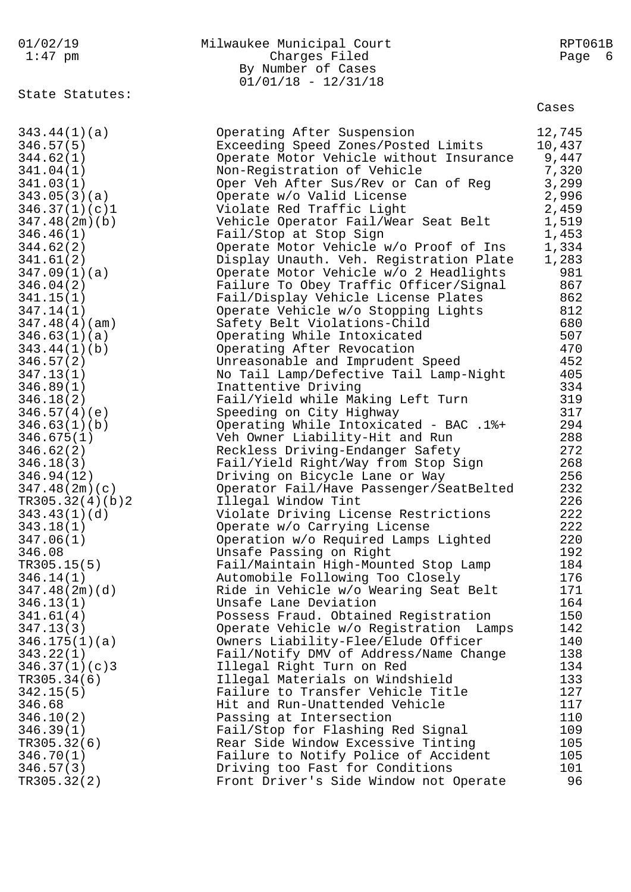### 01/02/19 Milwaukee Municipal Court RPT061B 1:47 pm Charges Filed Page 6 By Number of Cases 01/01/18 - 12/31/18

State Statutes:

| 343.44(1)(a)    | Operating After Suspension              | 12,745 |
|-----------------|-----------------------------------------|--------|
| 346.57(5)       | Exceeding Speed Zones/Posted Limits     | 10,437 |
| 344.62(1)       | Operate Motor Vehicle without Insurance | 9,447  |
| 341.04(1)       | Non-Registration of Vehicle             | 7,320  |
| 341.03(1)       | Oper Veh After Sus/Rev or Can of Reg    | 3,299  |
| 343.05(3)(a)    | Operate w/o Valid License               | 2,996  |
| 346.37(1)(c)1   | Violate Red Traffic Light               | 2,459  |
| 347.48(2m)(b)   | Vehicle Operator Fail/Wear Seat Belt    | 1,519  |
| 346.46(1)       | Fail/Stop at Stop Sign                  | 1,453  |
| 344.62(2)       | Operate Motor Vehicle w/o Proof of Ins  | 1,334  |
| 341.61(2)       | Display Unauth. Veh. Registration Plate | 1,283  |
| 347.09(1)(a)    | Operate Motor Vehicle w/o 2 Headlights  | 981    |
| 346.04(2)       | Failure To Obey Traffic Officer/Signal  | 867    |
| 341.15(1)       | Fail/Display Vehicle License Plates     | 862    |
| 347.14(1)       | Operate Vehicle w/o Stopping Lights     | 812    |
| 347.48(4)(am)   | Safety Belt Violations-Child            | 680    |
| 346.63(1)(a)    | Operating While Intoxicated             | 507    |
| 343.44(1)(b)    | Operating After Revocation              | 470    |
| 346.57(2)       | Unreasonable and Imprudent Speed        | 452    |
| 347.13(1)       | No Tail Lamp/Defective Tail Lamp-Night  | 405    |
| 346.89(1)       | Inattentive Driving                     | 334    |
| 346.18(2)       | Fail/Yield while Making Left Turn       | 319    |
| 346.57(4)(e)    | Speeding on City Highway                | 317    |
| 346.63(1)(b)    | Operating While Intoxicated - BAC .1%+  | 294    |
| 346.675(1)      | Veh Owner Liability-Hit and Run         | 288    |
| 346.62(2)       | Reckless Driving-Endanger Safety        | 272    |
| 346.18(3)       | Fail/Yield Right/Way from Stop Sign     | 268    |
| 346.94(12)      | Driving on Bicycle Lane or Way          | 256    |
| 347.48(2m)(c)   | Operator Fail/Have Passenger/SeatBelted | 232    |
| TR305.32(4)(b)2 | Illegal Window Tint                     | 226    |
| 343.43(1)(d)    | Violate Driving License Restrictions    | 222    |
| 343.18(1)       | Operate w/o Carrying License            | 222    |
| 347.06(1)       | Operation w/o Required Lamps Lighted    | 220    |
| 346.08          | Unsafe Passing on Right                 | 192    |
| TR305.15(5)     | Fail/Maintain High-Mounted Stop Lamp    | 184    |
| 346.14(1)       | Automobile Following Too Closely        | 176    |
| 347.48(2m)(d)   | Ride in Vehicle w/o Wearing Seat Belt   | 171    |
| 346.13(1)       | Unsafe Lane Deviation                   | 164    |
| 341.61(4)       | Possess Fraud. Obtained Registration    | 150    |
| 347.13(3)       | Operate Vehicle w/o Registration Lamps  | 142    |
| 346.175(1)(a)   | Owners Liability-Flee/Elude Officer     | 140    |
| 343.22(1)       | Fail/Notify DMV of Address/Name Change  | 138    |
| 346.37(1)(c)3   | Illegal Right Turn on Red               | 134    |
| TR305.34(6)     | Illegal Materials on Windshield         | 133    |
| 342.15(5)       | Failure to Transfer Vehicle Title       | 127    |
| 346.68          | Hit and Run-Unattended Vehicle          | 117    |
| 346.10(2)       | Passing at Intersection                 | 110    |
| 346.39(1)       | Fail/Stop for Flashing Red Signal       | 109    |
| TR305.32(6)     | Rear Side Window Excessive Tinting      | 105    |
| 346.70(1)       | Failure to Notify Police of Accident    | 105    |
| 346.57(3)       | Driving too Fast for Conditions         | 101    |
| TR305.32(2)     | Front Driver's Side Window not Operate  | 96     |
|                 |                                         |        |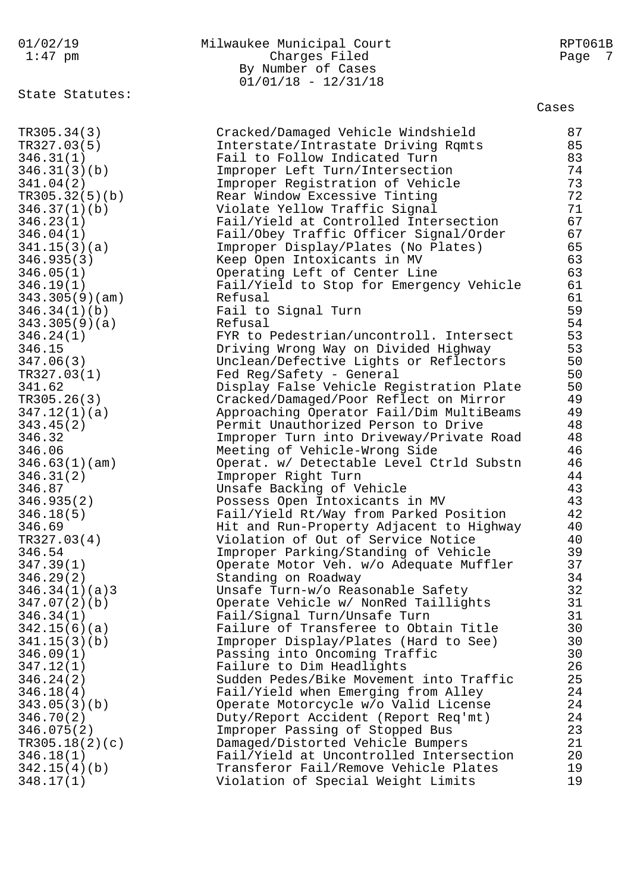01/02/19 Milwaukee Municipal Court RPT061B 1:47 pm Charges Filed Page 7 By Number of Cases 01/01/18 - 12/31/18 State Statutes: Cases TR305.34(3) Cracked/Damaged Vehicle Windshield 87 TR327.03(5) Interstate/Intrastate Driving Rqmts 85 346.31(1) Fail to Follow Indicated Turn 83 346.31(3)(b) Improper Left Turn/Intersection 74 341.04(2) Improper Registration of Vehicle 73 TR305.32(5)(b) Rear Window Excessive Tinting 72 346.37(1)(b) Violate Yellow Traffic Signal 71 346.23(1) Fail/Yield at Controlled Intersection 67 346.04(1) Fail/Obey Traffic Officer Signal/Order 67 341.15(3)(a) Improper Display/Plates (No Plates) 65 346.935(3) Keep Open Intoxicants in MV 63 346.05(1) Operating Left of Center Line 63 346.19(1) Fail/Yield to Stop for Emergency Vehicle 61 343.305(9)(am) Refusal 61 346.34(1)(b) Fail to Signal Turn 59 343.305(9)(a) Refusal 54 346.24(1) FYR to Pedestrian/uncontroll. Intersect 53 346.15 Driving Wrong Way on Divided Highway 53 347.06(3) Unclean/Defective Lights or Reflectors 50  $TR327.03(1)$  Fed Reg/Safety - General 50 341.62 Display False Vehicle Registration Plate 50 TR305.26(3) Cracked/Damaged/Poor Reflect on Mirror 49 347.12(1)(a) Approaching Operator Fail/Dim MultiBeams 49 343.45(2) Permit Unauthorized Person to Drive 48 346.32 Improper Turn into Driveway/Private Road 48 346.06 Meeting of Vehicle-Wrong Side 46 346.63(1)(am) Operat. w/ Detectable Level Ctrld Substn 46 346.31(2) Improper Right Turn 44 346.87 Unsafe Backing of Vehicle 43 346.935(2) Possess Open Intoxicants in MV 43 346.18(5) Fail/Yield Rt/Way from Parked Position 42 346.69 Hit and Run-Property Adjacent to Highway 40 TR327.03(4) Violation of Out of Service Notice 40 346.54 Improper Parking/Standing of Vehicle 39 347.39(1) Operate Motor Veh. w/o Adequate Muffler 37 346.29(2) Standing on Roadway 34 346.34(1)(a)3 Unsafe Turn-w/o Reasonable Safety 32 347.07(2)(b) Operate Vehicle w/ NonRed Taillights 31 346.34(1) Fail/Signal Turn/Unsafe Turn 31 342.15(6)(a) Failure of Transferee to Obtain Title 30 341.15(3)(b) Improper Display/Plates (Hard to See) 30 346.09(1) Passing into Oncoming Traffic 30 347.12(1) Failure to Dim Headlights 26 346.24(2) Sudden Pedes/Bike Movement into Traffic 25 346.18(4) Fail/Yield when Emerging from Alley 24 343.05(3)(b) Operate Motorcycle w/o Valid License 24 346.70(2) Duty/Report Accident (Report Req'mt) 24 346.075(2) Improper Passing of Stopped Bus 23 TR305.18(2)(c) Damaged/Distorted Vehicle Bumpers 21 346.18(1) Fail/Yield at Uncontrolled Intersection 20 342.15(4)(b) Transferor Fail/Remove Vehicle Plates 19 348.17(1) Violation of Special Weight Limits 19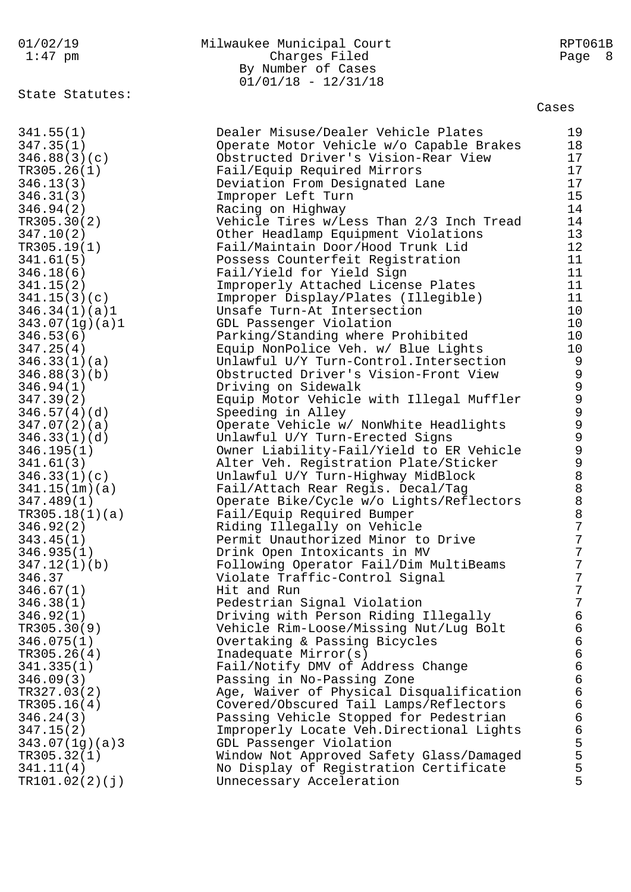# 01/02/19 Milwaukee Municipal Court RPT061B Charges Filed Page 8 By Number of Cases  $01/01/18 - 12/31/18$

State Statutes:

| 341.55(1)      | Dealer Misuse/Dealer Vehicle Plates      | 19             |
|----------------|------------------------------------------|----------------|
| 347.35(1)      | Operate Motor Vehicle w/o Capable Brakes | 18             |
| 346.88(3)(c)   | Obstructed Driver's Vision-Rear View     | 17             |
| TR305.26(1)    | Fail/Equip Required Mirrors              | 17             |
| 346.13(3)      | Deviation From Designated Lane           | 17             |
| 346.31(3)      | Improper Left Turn                       | 15             |
| 346.94(2)      | Racing on Highway                        | 14             |
|                |                                          |                |
| TR305.30(2)    | Vehicle Tires w/Less Than 2/3 Inch Tread | 14             |
| 347.10(2)      | Other Headlamp Equipment Violations      | 13             |
| TR305.19(1)    | Fail/Maintain Door/Hood Trunk Lid        | 12             |
| 341.61(5)      | Possess Counterfeit Registration         | 11             |
| 346.18(6)      | Fail/Yield for Yield Sign                | 11             |
| 341.15(2)      | Improperly Attached License Plates       | 11             |
| 341.15(3)(c)   | Improper Display/Plates (Illegible)      | 11             |
| 346.34(1)(a)1  | Unsafe Turn-At Intersection              | 10             |
| 343.07(1g)(a)1 | GDL Passenger Violation                  | 10             |
| 346.53(6)      | Parking/Standing where Prohibited        | 10             |
| 347.25(4)      | Equip NonPolice Veh. w/ Blue Lights      | 10             |
| 346.33(1)(a)   | Unlawful U/Y Turn-Control. Intersection  | 9              |
| 346.88(3)(b)   | Obstructed Driver's Vision-Front View    | $\mathsf 9$    |
| 346.94(1)      | Driving on Sidewalk                      |                |
| 347.39(2)      | Equip Motor Vehicle with Illegal Muffler | 99999          |
| 346.57(4)(d)   | Speeding in Alley                        |                |
| 347.07(2)(a)   | Operate Vehicle w/ NonWhite Headlights   |                |
| 346.33(1)(d)   | Unlawful U/Y Turn-Erected Signs          |                |
| 346.195(1)     | Owner Liability-Fail/Yield to ER Vehicle |                |
| 341.61(3)      | Alter Veh. Registration Plate/Sticker    | 9988887        |
| 346.33(1)(c)   | Unlawful U/Y Turn-Highway MidBlock       |                |
|                |                                          |                |
| 341.15(1m)(a)  | Fail/Attach Rear Regis. Decal/Tag        |                |
| 347.489(1)     | Operate Bike/Cycle w/o Lights/Reflectors |                |
| TR305.18(1)(a) | Fail/Equip Required Bumper               |                |
| 346.92(2)      | Riding Illegally on Vehicle              |                |
| 343.45(1)      | Permit Unauthorized Minor to Drive       | $\sqrt{ }$     |
| 346.935(1)     | Drink Open Intoxicants in MV             | $\overline{7}$ |
| 347.12(1)(b)   | Following Operator Fail/Dim MultiBeams   | $\overline{7}$ |
| 346.37         | Violate Traffic-Control Signal           | 7              |
| 346.67(1)      | Hit and Run                              | 7              |
| 346.38(1)      | Pedestrian Signal Violation              | 7              |
| 346.92(1)      | Driving with Person Riding Illegally     | $\epsilon$     |
| TR305.30(9)    | Vehicle Rim-Loose/Missing Nut/Lug Bolt   | $\epsilon$     |
| 346.075(1)     | Overtaking & Passing Bicycles            | $\epsilon$     |
| TR305.26(4)    | Inadequate Mirror(s)                     | 6<br>6<br>6    |
| 341.335(1)     | Fail/Notify DMV of Address Change        |                |
| 346.09(3)      | Passing in No-Passing Zone               |                |
| TR327.03(2)    | Age, Waiver of Physical Disqualification | $\epsilon$     |
| TR305.16(4)    | Covered/Obscured Tail Lamps/Reflectors   | $\epsilon$     |
| 346.24(3)      | Passing Vehicle Stopped for Pedestrian   | $\mathsf 6$    |
| 347.15(2)      | Improperly Locate Veh.Directional Lights |                |
| 343.07(1g)(a)3 | GDL Passenger Violation                  | 6<br>5<br>5    |
| TR305.32(1)    | Window Not Approved Safety Glass/Damaged |                |
| 341.11(4)      | No Display of Registration Certificate   | 5              |
| TR101.02(2)(j) | Unnecessary Acceleration                 | 5              |
|                |                                          |                |
|                |                                          |                |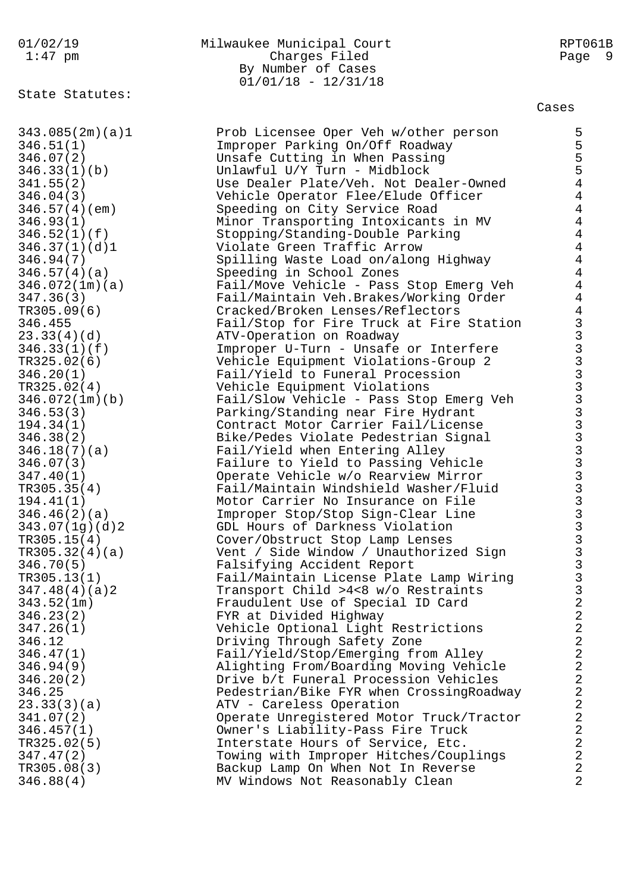State Statutes:

# 01/02/19 Milwaukee Municipal Court RPT061B 1:47 pm Charges Filed Page 9 By Number of Cases 01/01/18 - 12/31/18

| 343.085(2m)(a)1 | Prob Licensee Oper Veh w/other person    | 5              |
|-----------------|------------------------------------------|----------------|
| 346.51(1)       | Improper Parking On/Off Roadway          |                |
| 346.07(2)       | Unsafe Cutting in When Passing           | 5<br>5<br>5    |
| 346.33(1)(b)    | Unlawful U/Y Turn - Midblock             |                |
| 341.55(2)       | Use Dealer Plate/Veh. Not Dealer-Owned   | $\overline{4}$ |
| 346.04(3)       | Vehicle Operator Flee/Elude Officer      | $\overline{4}$ |
| 346.57(4)(em)   | Speeding on City Service Road            | $\overline{4}$ |
| 346.93(1)       | Minor Transporting Intoxicants in MV     | $\overline{4}$ |
| 346.52(1)(f)    | Stopping/Standing-Double Parking         | $\overline{4}$ |
| 346.37(1)(d)1   | Violate Green Traffic Arrow              | $\overline{4}$ |
| 346.94(7)       |                                          | $\overline{4}$ |
|                 | Spilling Waste Load on/along Highway     | $\overline{4}$ |
| 346.57(4)(a)    | Speeding in School Zones                 |                |
| 346.072(1m)(a)  | Fail/Move Vehicle - Pass Stop Emerg Veh  | $\overline{4}$ |
| 347.36(3)       | Fail/Maintain Veh.Brakes/Working Order   | $\overline{4}$ |
| TR305.09(6)     | Cracked/Broken Lenses/Reflectors         | $\overline{4}$ |
| 346.455         | Fail/Stop for Fire Truck at Fire Station |                |
| 23.33(4)(d)     | ATV-Operation on Roadway                 |                |
| 346.33(1)(f)    | Improper U-Turn - Unsafe or Interfere    |                |
| TR325.02(6)     | Vehicle Equipment Violations-Group 2     |                |
| 346.20(1)       | Fail/Yield to Funeral Procession         |                |
| TR325.02(4)     | Vehicle Equipment Violations             |                |
| 346.072(1m)(b)  | Fail/Slow Vehicle - Pass Stop Emerg Veh  |                |
| 346.53(3)       | Parking/Standing near Fire Hydrant       |                |
| 194.34(1)       | Contract Motor Carrier Fail/License      |                |
| 346.38(2)       | Bike/Pedes Violate Pedestrian Signal     |                |
| 346.18(7)(a)    | Fail/Yield when Entering Alley           |                |
| 346.07(3)       | Failure to Yield to Passing Vehicle      |                |
| 347.40(1)       | Operate Vehicle w/o Rearview Mirror      |                |
| TR305.35(4)     | Fail/Maintain Windshield Washer/Fluid    |                |
| 194.41(1)       | Motor Carrier No Insurance on File       |                |
| 346.46(2)(a)    | Improper Stop/Stop Sign-Clear Line       |                |
| 343.07(1g)(d)2  | GDL Hours of Darkness Violation          |                |
|                 |                                          |                |
| TR305.15(4)     | Cover/Obstruct Stop Lamp Lenses          |                |
| TR305.32(4)(a)  | Vent / Side Window / Unauthorized Sign   |                |
| 346.70(5)       | Falsifying Accident Report               |                |
| TR305.13(1)     | Fail/Maintain License Plate Lamp Wiring  |                |
| 347.48(4)(a)2   | Transport Child >4<8 w/o Restraints      | $\mathbf{3}$   |
| 343.52(1m)      | Fraudulent Use of Special ID Card        | $\sqrt{2}$     |
| 346.23(2)       | FYR at Divided Highway                   | $\frac{2}{2}$  |
| 347.26(1)       | Vehicle Optional Light Restrictions      |                |
| 346.12          | Driving Through Safety Zone              | $\overline{a}$ |
| 346.47(1)       | Fail/Yield/Stop/Emerging from Alley      | $\sqrt{2}$     |
| 346.94(9)       | Alighting From/Boarding Moving Vehicle   | $\overline{2}$ |
| 346.20(2)       | Drive b/t Funeral Procession Vehicles    | $\overline{2}$ |
| 346.25          | Pedestrian/Bike FYR when CrossingRoadway | $\frac{2}{2}$  |
| 23.33(3)(a)     | ATV - Careless Operation                 |                |
| 341.07(2)       | Operate Unregistered Motor Truck/Tractor | $\overline{a}$ |
| 346.457(1)      | Owner's Liability-Pass Fire Truck        | $\overline{2}$ |
| TR325.02(5)     | Interstate Hours of Service, Etc.        | $\overline{2}$ |
| 347.47(2)       | Towing with Improper Hitches/Couplings   | $\overline{2}$ |
| TR305.08(3)     | Backup Lamp On When Not In Reverse       | $\overline{2}$ |
| 346.88(4)       | MV Windows Not Reasonably Clean          | $\overline{2}$ |
|                 |                                          |                |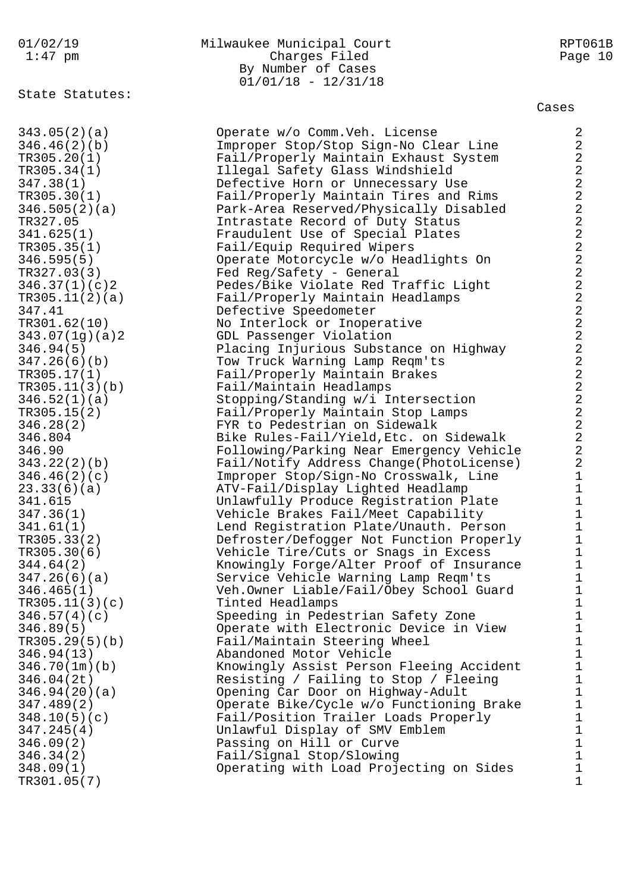# State Statutes:

#### 01/02/19 Milwaukee Municipal Court RPT061B 1:47 pm Charges Filed Page 10 By Number of Cases  $01/01/18 - 12/31/18$

#### Cases

343.05(2)(a) Operate w/o Comm.Veh. License 2 346.46(2)(b) Improper Stop/Stop Sign-No Clear Line 2 TR305.20(1) Fail/Properly Maintain Exhaust System 2 TR305.34(1) Illegal Safety Glass Windshield 2 347.38(1) Defective Horn or Unnecessary Use 2 TR305.30(1) Fail/Properly Maintain Tires and Rims 2 346.505(2)(a) Park-Area Reserved/Physically Disabled 2 TR327.05 Intrastate Record of Duty Status 2 341.625(1) Fraudulent Use of Special Plates 2 TR305.35(1) Fail/Equip Required Wipers 2 346.595(5) Operate Motorcycle w/o Headlights On 2 TR327.03(3) Fed Reg/Safety - General 2 346.37(1)(c)2 Pedes/Bike Violate Red Traffic Light 2 TR305.11(2)(a) Fail/Properly Maintain Headlamps 2 347.41 Defective Speedometer 2 TR301.62(10) No Interlock or Inoperative 2 343.07(1g)(a)2 GDL Passenger Violation 2 346.94(5) Placing Injurious Substance on Highway 2 347.26(6)(b) Tow Truck Warning Lamp Reqm'ts 2 TR305.17(1) Fail/Properly Maintain Brakes 2 TR305.11(3)(b) Fail/Maintain Headlamps 2 346.52(1)(a) Stopping/Standing w/i Intersection 2 TR305.15(2) Fail/Properly Maintain Stop Lamps 2 346.28(2) FYR to Pedestrian on Sidewalk 2 346.804 Bike Rules-Fail/Yield,Etc. on Sidewalk 2 346.90 Following/Parking Near Emergency Vehicle 2 343.22(2)(b) Fail/Notify Address Change(PhotoLicense) 2 346.46(2)(c) Improper Stop/Sign-No Crosswalk, Line 1 23.33(6)(a) ATV-Fail/Display Lighted Headlamp 1 341.615 Unlawfully Produce Registration Plate 1 347.36(1) Vehicle Brakes Fail/Meet Capability 1 341.61(1) Lend Registration Plate/Unauth. Person 1 TR305.33(2) Defroster/Defogger Not Function Properly 1 TR305.30(6) Vehicle Tire/Cuts or Snags in Excess 1 344.64(2) Knowingly Forge/Alter Proof of Insurance 1 347.26(6)(a) Service Vehicle Warning Lamp Reqm'ts 1 346.465(1) Veh.Owner Liable/Fail/Obey School Guard 1 TR305.11(3)(c) Tinted Headlamps 1 346.57(4)(c) Speeding in Pedestrian Safety Zone 1 346.89(5) Operate with Electronic Device in View 1 TR305.29(5)(b) Fail/Maintain Steering Wheel 1 346.94(13) Abandoned Motor Vehicle 1 346.70(1m)(b) Knowingly Assist Person Fleeing Accident 1 346.04(2t) Resisting / Failing to Stop / Fleeing 1 346.94(20)(a) Opening Car Door on Highway-Adult 1 347.489(2) Operate Bike/Cycle w/o Functioning Brake 1 348.10(5)(c) Fail/Position Trailer Loads Properly 1 347.245(4) Unlawful Display of SMV Emblem 1 346.09(2) Passing on Hill or Curve 1 346.34(2) Fail/Signal Stop/Slowing 1 348.09(1) Operating with Load Projecting on Sides 1  $TR301.05(7)$  1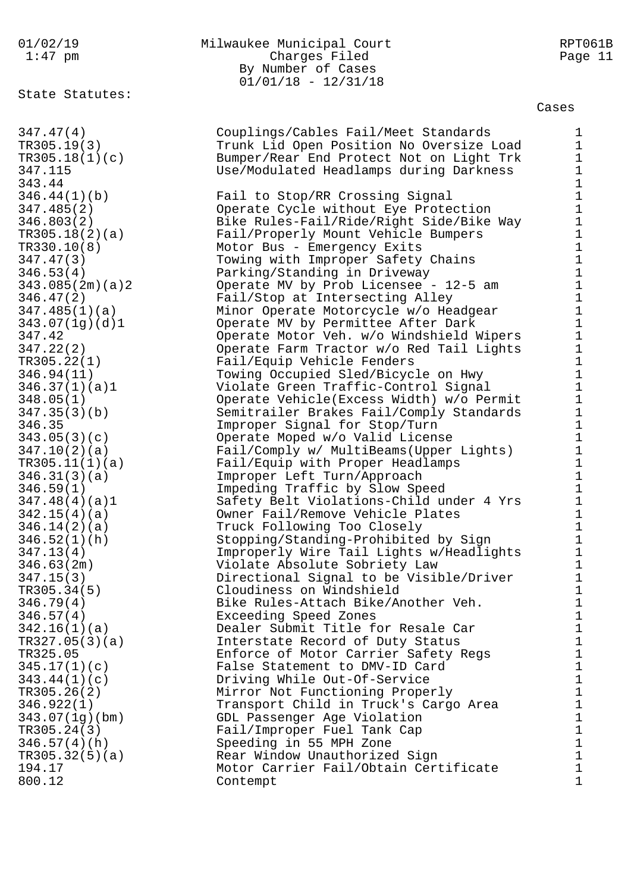State Statutes:

# 01/02/19 Milwaukee Municipal Court RPT061B 1:47 pm Charges Filed Page 11 By Number of Cases 01/01/18 - 12/31/18

Cases

347.47(4) Couplings/Cables Fail/Meet Standards 1 TR305.19(3) Trunk Lid Open Position No Oversize Load 1 TR305.18(1)(c) Bumper/Rear End Protect Not on Light Trk 1 347.115 Use/Modulated Headlamps during Darkness 1 343.44 1 346.44(1)(b) Fail to Stop/RR Crossing Signal 1 347.485(2) Operate Cycle without Eye Protection 1 346.803(2) Bike Rules-Fail/Ride/Right Side/Bike Way 1 TR305.18(2)(a) Fail/Properly Mount Vehicle Bumpers 1 TR330.10(8) Motor Bus - Emergency Exits 1 347.47(3) Towing with Improper Safety Chains 1 346.53(4) Parking/Standing in Driveway 1 343.085(2m)(a)2 Operate MV by Prob Licensee - 12-5 am 1 346.47(2) Fail/Stop at Intersecting Alley 1 347.485(1)(a) Minor Operate Motorcycle w/o Headgear 1 343.07(1g)(d)1 Operate MV by Permittee After Dark 1 347.42 Operate Motor Veh. w/o Windshield Wipers 1 347.22(2) Operate Farm Tractor w/o Red Tail Lights 1 TR305.22(1) Fail/Equip Vehicle Fenders 1 346.94(11) Towing Occupied Sled/Bicycle on Hwy 1 346.37(1)(a)1 Violate Green Traffic-Control Signal 1 348.05(1) Operate Vehicle(Excess Width) w/o Permit 1 347.35(3)(b) Semitrailer Brakes Fail/Comply Standards 1 346.35 Improper Signal for Stop/Turn 1 343.05(3)(c) Operate Moped w/o Valid License 1 347.10(2)(a) Fail/Comply w/ MultiBeams(Upper Lights) 1 TR305.11(1)(a) Fail/Equip with Proper Headlamps 1 346.31(3)(a) Improper Left Turn/Approach 1 346.59(1) Impeding Traffic by Slow Speed 1 347.48(4)(a)1 Safety Belt Violations-Child under 4 Yrs 1 342.15(4)(a) Owner Fail/Remove Vehicle Plates 1 346.14(2)(a) Truck Following Too Closely 1 346.52(1)(h) Stopping/Standing-Prohibited by Sign 1 347.13(4) Improperly Wire Tail Lights w/Headlights 1 346.63(2m) Violate Absolute Sobriety Law 1 347.15(3) Directional Signal to be Visible/Driver 1 TR305.34(5) Cloudiness on Windshield 1 346.79(4) Bike Rules-Attach Bike/Another Veh. 1 346.57(4) Exceeding Speed Zones 1 342.16(1)(a) Dealer Submit Title for Resale Car 1 TR327.05(3)(a) Interstate Record of Duty Status 1 TR325.05 Enforce of Motor Carrier Safety Regs 1 345.17(1)(c) False Statement to DMV-ID Card 1 343.44(1)(c) Driving While Out-Of-Service 1 TR305.26(2) Mirror Not Functioning Properly 1 346.922(1) Transport Child in Truck's Cargo Area 1 343.07(1g)(bm) GDL Passenger Age Violation 1 TR305.24(3) Fail/Improper Fuel Tank Cap 1 346.57(4)(h) Speeding in 55 MPH Zone 1 TR305.32(5)(a) Rear Window Unauthorized Sign 1 194.17 Motor Carrier Fail/Obtain Certificate 1 800.12 Contempt 1